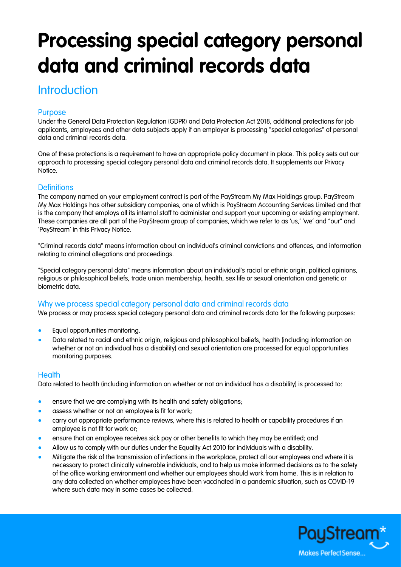# **Processing special category personal data and criminal records data**

## **Introduction**

### Purpose

Under the General Data Protection Regulation (GDPR) and Data Protection Act 2018, additional protections for job applicants, employees and other data subjects apply if an employer is processing "special categories" of personal data and criminal records data.

One of these protections is a requirement to have an appropriate policy document in place. This policy sets out our approach to processing special category personal data and criminal records data. It supplements our Privacy Notice.

#### **Definitions**

The company named on your employment contract is part of the PayStream My Max Holdings group. PayStream My Max Holdings has other subsidiary companies, one of which is PayStream Accounting Services Limited and that is the company that employs all its internal staff to administer and support your upcoming or existing employment. These companies are all part of the PayStream group of companies, which we refer to as 'us,' 'we' and "our" and 'PayStream' in this Privacy Notice.

"Criminal records data" means information about an individual's criminal convictions and offences, and information relating to criminal allegations and proceedings.

"Special category personal data" means information about an individual's racial or ethnic origin, political opinions, religious or philosophical beliefs, trade union membership, health, sex life or sexual orientation and genetic or biometric data.

#### Why we process special category personal data and criminal records data

We process or may process special category personal data and criminal records data for the following purposes:

- Equal opportunities monitoring.
- Data related to racial and ethnic origin, religious and philosophical beliefs, health (including information on whether or not an individual has a disability) and sexual orientation are processed for equal opportunities monitoring purposes.

#### **Health**

Data related to health (including information on whether or not an individual has a disability) is processed to:

- ensure that we are complying with its health and safety obligations;
- **•** assess whether or not an employee is fit for work;
- carry out appropriate performance reviews, where this is related to health or capability procedures if an employee is not fit for work or;
- ensure that an employee receives sick pay or other benefits to which they may be entitled; and
- Allow us to comply with our duties under the Equality Act 2010 for individuals with a disability.
- Mitigate the risk of the transmission of infections in the workplace, protect all our employees and where it is necessary to protect clinically vulnerable individuals, and to help us make informed decisions as to the safety of the office working environment and whether our employees should work from home. This is in relation to any data collected on whether employees have been vaccinated in a pandemic situation, such as COVID-19 where such data may in some cases be collected.

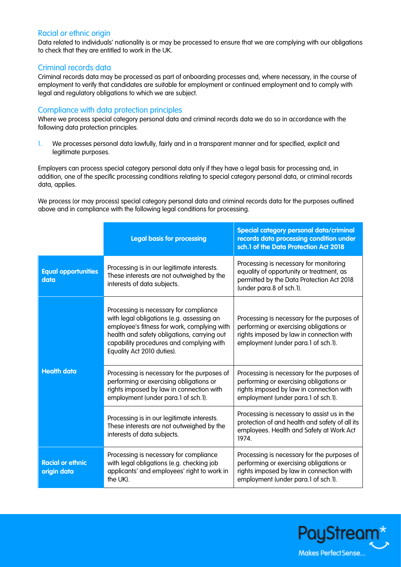#### Racial or ethnic origin

Data related to individuals' nationality is or may be processed to ensure that we are complying with our obligations to check that they are entitled to work in the UK.

#### Criminal records data

Criminal records data may be processed as part of onboarding processes and, where necessary, in the course of employment to verify that candidates are suitable for employment or continued employment and to comply with legal and regulatory obligations to which we are subject.

#### Compliance with data protection principles

Where we process special category personal data and criminal records data we do so in accordance with the following data protection principles.

1. We processes personal data lawfully, fairly and in a transparent manner and for specified, explicit and legitimate purposes.

Employers can process special category personal data only if they have a legal basis for processing and, in addition, one of the specific processing conditions relating to special category personal data, or criminal records data, applies.

We process (or may process) special category personal data and criminal records data for the purposes outlined above and in compliance with the following legal conditions for processing.

|                                        | <b>Legal basis for processing</b>                                                                                                                                                                                                                           | Special category personal data/criminal<br>records data processing condition under<br>sch.1 of the Data Protection Act 2018                                               |
|----------------------------------------|-------------------------------------------------------------------------------------------------------------------------------------------------------------------------------------------------------------------------------------------------------------|---------------------------------------------------------------------------------------------------------------------------------------------------------------------------|
| <b>Equal opportunities</b><br>data     | Processing is in our legitimate interests.<br>These interests are not outweighed by the<br>interests of data subjects.                                                                                                                                      | Processing is necessary for monitoring<br>equality of opportunity or treatment, as<br>permitted by the Data Protection Act 2018<br>(under para.8 of sch.1).               |
| <b>Health data</b>                     | Processing is necessary for compliance<br>with legal obligations (e.g. assessing an<br>employee's fitness for work, complying with<br>health and safety obligations, carrying out<br>capability procedures and complying with<br>Equality Act 2010 duties). | Processing is necessary for the purposes of<br>performing or exercising obligations or<br>rights imposed by law in connection with<br>employment (under para.1 of sch.1). |
|                                        | Processing is necessary for the purposes of<br>performing or exercising obligations or<br>rights imposed by law in connection with<br>employment (under para.1 of sch.1).                                                                                   | Processing is necessary for the purposes of<br>performing or exercising obligations or<br>rights imposed by law in connection with<br>employment (under para.1 of sch.1). |
|                                        | Processing is in our legitimate interests.<br>These interests are not outweighed by the<br>interests of data subjects.                                                                                                                                      | Processing is necessary to assist us in the<br>protection of and health and safety of all its<br>employees. Health and Safety at Work Act<br>1974.                        |
| <b>Racial or ethnic</b><br>origin data | Processing is necessary for compliance<br>with legal obligations (e.g. checking job<br>applicants' and employees' right to work in<br>the UK).                                                                                                              | Processing is necessary for the purposes of<br>performing or exercising obligations or<br>rights imposed by law in connection with<br>employment (under para.1 of sch.1). |

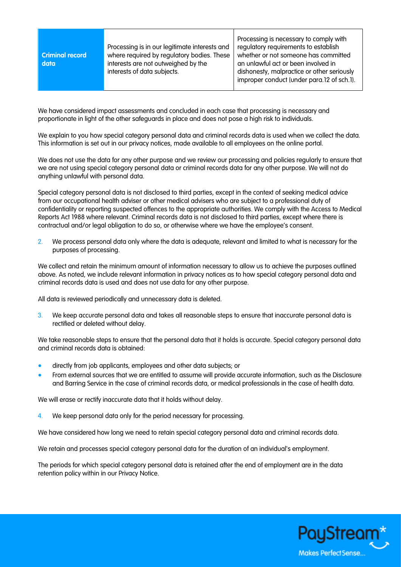| Processing is in our legitimate interests and | Processing is necessary to comply with     |
|-----------------------------------------------|--------------------------------------------|
| where required by regulatory bodies. These    | regulatory requirements to establish       |
| <b>Criminal record</b>                        | whether or not someone has committed       |
| interests are not outweighed by the           | an unlawful act or been involved in        |
| data                                          | dishonesty, malpractice or other seriously |
| interests of data subjects.                   | improper conduct (under para.12 of sch.1). |

We have considered impact assessments and concluded in each case that processing is necessary and proportionate in light of the other safeguards in place and does not pose a high risk to individuals.

We explain to you how special category personal data and criminal records data is used when we collect the data. This information is set out in our privacy notices, made available to all employees on the online portal.

We does not use the data for any other purpose and we review our processing and policies regularly to ensure that we are not using special category personal data or criminal records data for any other purpose. We will not do anything unlawful with personal data.

Special category personal data is not disclosed to third parties, except in the context of seeking medical advice from our occupational health adviser or other medical advisers who are subject to a professional duty of confidentiality or reporting suspected offences to the appropriate authorities. We comply with the Access to Medical Reports Act 1988 where relevant. Criminal records data is not disclosed to third parties, except where there is contractual and/or legal obligation to do so, or otherwise where we have the employee's consent.

2. We process personal data only where the data is adequate, relevant and limited to what is necessary for the purposes of processing.

We collect and retain the minimum amount of information necessary to allow us to achieve the purposes outlined above. As noted, we include relevant information in privacy notices as to how special category personal data and criminal records data is used and does not use data for any other purpose.

All data is reviewed periodically and unnecessary data is deleted.

3. We keep accurate personal data and takes all reasonable steps to ensure that inaccurate personal data is rectified or deleted without delay.

We take reasonable steps to ensure that the personal data that it holds is accurate. Special category personal data and criminal records data is obtained:

- directly from job applicants, employees and other data subjects; or
- From external sources that we are entitled to assume will provide accurate information, such as the Disclosure and Barring Service in the case of criminal records data, or medical professionals in the case of health data.

We will erase or rectify inaccurate data that it holds without delay.

4. We keep personal data only for the period necessary for processing.

We have considered how long we need to retain special category personal data and criminal records data.

We retain and processes special category personal data for the duration of an individual's employment.

The periods for which special category personal data is retained after the end of employment are in the data retention policy within in our Privacy Notice.